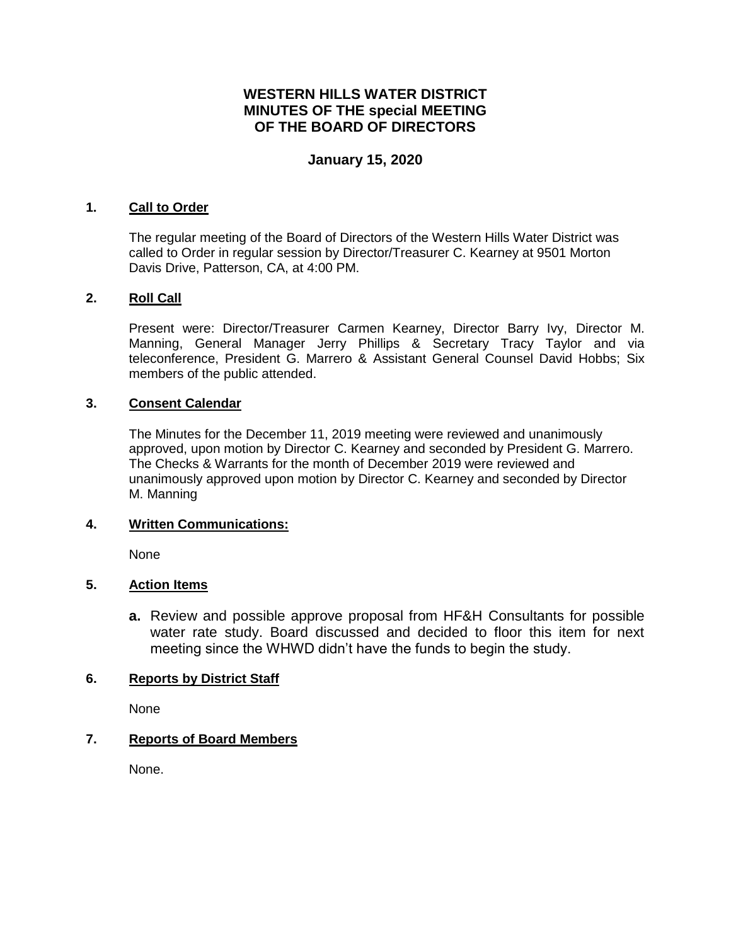# **WESTERN HILLS WATER DISTRICT MINUTES OF THE special MEETING OF THE BOARD OF DIRECTORS**

### **January 15, 2020**

### **1. Call to Order**

The regular meeting of the Board of Directors of the Western Hills Water District was called to Order in regular session by Director/Treasurer C. Kearney at 9501 Morton Davis Drive, Patterson, CA, at 4:00 PM.

#### **2. Roll Call**

Present were: Director/Treasurer Carmen Kearney, Director Barry Ivy, Director M. Manning, General Manager Jerry Phillips & Secretary Tracy Taylor and via teleconference, President G. Marrero & Assistant General Counsel David Hobbs; Six members of the public attended.

#### **3. Consent Calendar**

The Minutes for the December 11, 2019 meeting were reviewed and unanimously approved, upon motion by Director C. Kearney and seconded by President G. Marrero. The Checks & Warrants for the month of December 2019 were reviewed and unanimously approved upon motion by Director C. Kearney and seconded by Director M. Manning

#### **4. Written Communications:**

None

### **5. Action Items**

**a.** Review and possible approve proposal from HF&H Consultants for possible water rate study. Board discussed and decided to floor this item for next meeting since the WHWD didn't have the funds to begin the study.

#### **6. Reports by District Staff**

None

### **7. Reports of Board Members**

None.